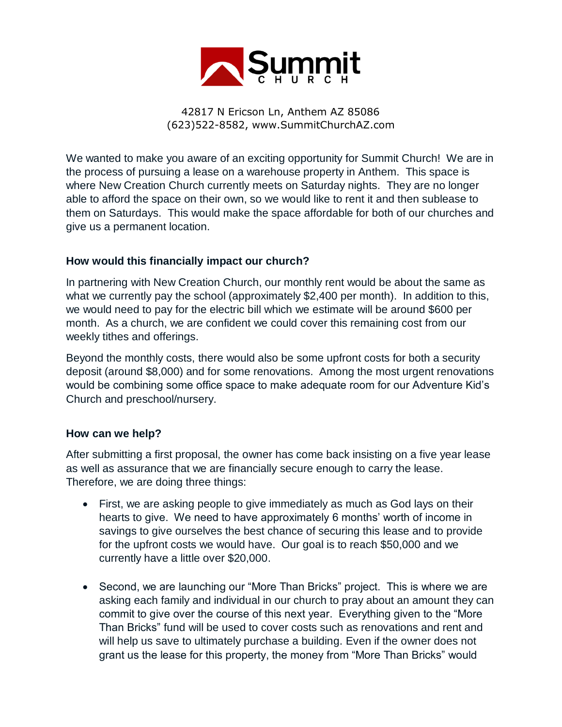

42817 N Ericson Ln, Anthem AZ 85086 (623)522-8582, www.SummitChurchAZ.com

We wanted to make you aware of an exciting opportunity for Summit Church! We are in the process of pursuing a lease on a warehouse property in Anthem. This space is where New Creation Church currently meets on Saturday nights. They are no longer able to afford the space on their own, so we would like to rent it and then sublease to them on Saturdays. This would make the space affordable for both of our churches and give us a permanent location.

## **How would this financially impact our church?**

In partnering with New Creation Church, our monthly rent would be about the same as what we currently pay the school (approximately \$2,400 per month). In addition to this, we would need to pay for the electric bill which we estimate will be around \$600 per month. As a church, we are confident we could cover this remaining cost from our weekly tithes and offerings.

Beyond the monthly costs, there would also be some upfront costs for both a security deposit (around \$8,000) and for some renovations. Among the most urgent renovations would be combining some office space to make adequate room for our Adventure Kid's Church and preschool/nursery.

## **How can we help?**

After submitting a first proposal, the owner has come back insisting on a five year lease as well as assurance that we are financially secure enough to carry the lease. Therefore, we are doing three things:

- First, we are asking people to give immediately as much as God lays on their hearts to give. We need to have approximately 6 months' worth of income in savings to give ourselves the best chance of securing this lease and to provide for the upfront costs we would have. Our goal is to reach \$50,000 and we currently have a little over \$20,000.
- Second, we are launching our "More Than Bricks" project. This is where we are asking each family and individual in our church to pray about an amount they can commit to give over the course of this next year. Everything given to the "More Than Bricks" fund will be used to cover costs such as renovations and rent and will help us save to ultimately purchase a building. Even if the owner does not grant us the lease for this property, the money from "More Than Bricks" would